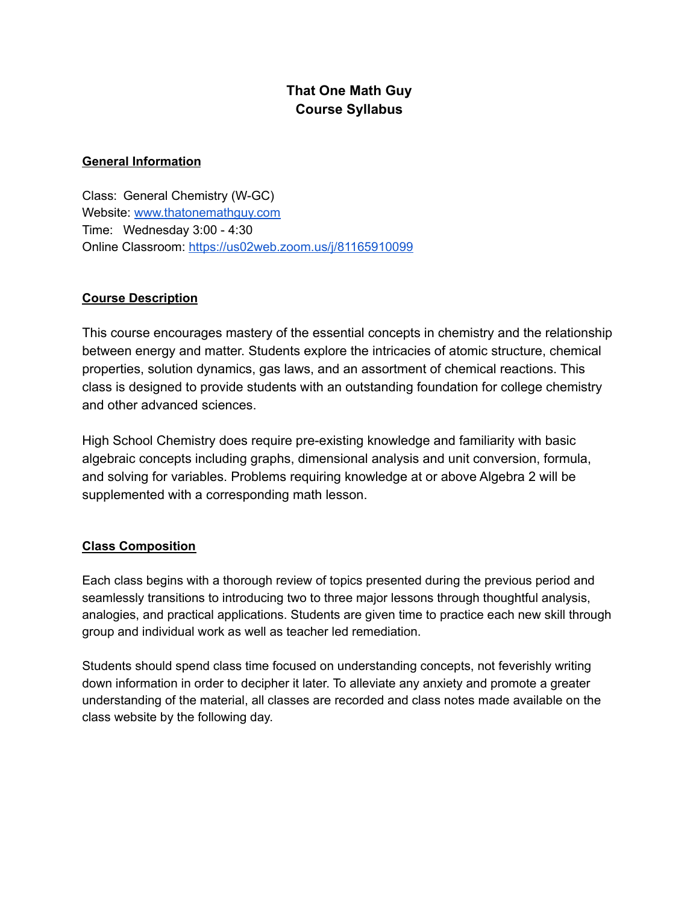# **That One Math Guy Course Syllabus**

# **General Information**

Class: General Chemistry (W-GC) Website: [www.thatonemathguy.com](http://www.thatonemathguy.com) Time: Wednesday 3:00 - 4:30 Online Classroom: <https://us02web.zoom.us/j/81165910099>

# **Course Description**

This course encourages mastery of the essential concepts in chemistry and the relationship between energy and matter. Students explore the intricacies of atomic structure, chemical properties, solution dynamics, gas laws, and an assortment of chemical reactions. This class is designed to provide students with an outstanding foundation for college chemistry and other advanced sciences.

High School Chemistry does require pre-existing knowledge and familiarity with basic algebraic concepts including graphs, dimensional analysis and unit conversion, formula, and solving for variables. Problems requiring knowledge at or above Algebra 2 will be supplemented with a corresponding math lesson.

#### **Class Composition**

Each class begins with a thorough review of topics presented during the previous period and seamlessly transitions to introducing two to three major lessons through thoughtful analysis, analogies, and practical applications. Students are given time to practice each new skill through group and individual work as well as teacher led remediation.

Students should spend class time focused on understanding concepts, not feverishly writing down information in order to decipher it later. To alleviate any anxiety and promote a greater understanding of the material, all classes are recorded and class notes made available on the class website by the following day.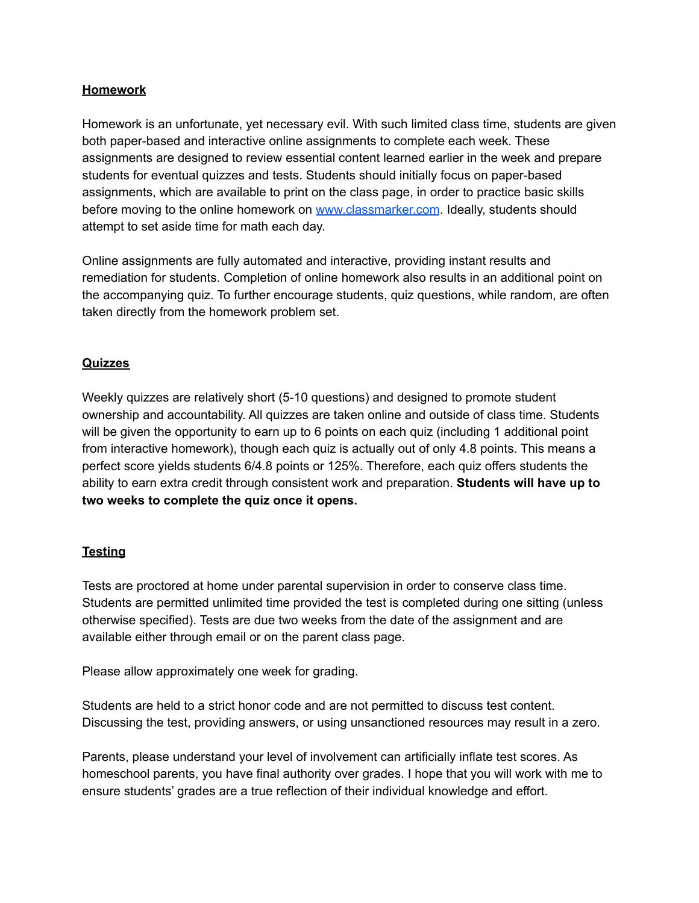### **Homework**

Homework is an unfortunate, yet necessary evil. With such limited class time, students are given both paper-based and interactive online assignments to complete each week. These assignments are designed to review essential content learned earlier in the week and prepare students for eventual quizzes and tests. Students should initially focus on paper-based assignments, which are available to print on the class page, in order to practice basic skills before moving to the online homework on [www.classmarker.com](http://www.classmarker.com). Ideally, students should attempt to set aside time for math each day.

Online assignments are fully automated and interactive, providing instant results and remediation for students. Completion of online homework also results in an additional point on the accompanying quiz. To further encourage students, quiz questions, while random, are often taken directly from the homework problem set.

## **Quizzes**

Weekly quizzes are relatively short (5-10 questions) and designed to promote student ownership and accountability. All quizzes are taken online and outside of class time. Students will be given the opportunity to earn up to 6 points on each quiz (including 1 additional point from interactive homework), though each quiz is actually out of only 4.8 points. This means a perfect score yields students 6/4.8 points or 125%. Therefore, each quiz offers students the ability to earn extra credit through consistent work and preparation. **Students will have up to two weeks to complete the quiz once it opens.**

# **Testing**

Tests are proctored at home under parental supervision in order to conserve class time. Students are permitted unlimited time provided the test is completed during one sitting (unless otherwise specified). Tests are due two weeks from the date of the assignment and are available either through email or on the parent class page.

Please allow approximately one week for grading.

Students are held to a strict honor code and are not permitted to discuss test content. Discussing the test, providing answers, or using unsanctioned resources may result in a zero.

Parents, please understand your level of involvement can artificially inflate test scores. As homeschool parents, you have final authority over grades. I hope that you will work with me to ensure students' grades are a true reflection of their individual knowledge and effort.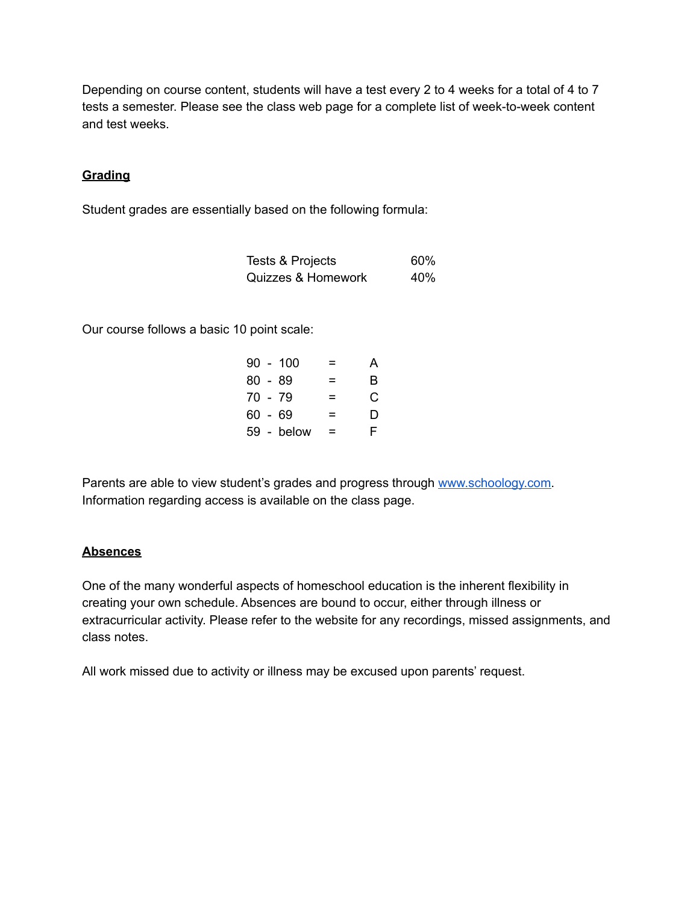Depending on course content, students will have a test every 2 to 4 weeks for a total of 4 to 7 tests a semester. Please see the class web page for a complete list of week-to-week content and test weeks.

## **Grading**

Student grades are essentially based on the following formula:

| Tests & Projects              | 60% |
|-------------------------------|-----|
| <b>Quizzes &amp; Homework</b> | 40% |

Our course follows a basic 10 point scale:

| $90 - 100$ |   | А |
|------------|---|---|
| $80 - 89$  | = | B |
| 70 - 79    | = | C |
| 60 - 69    | Ξ | D |
| 59 - below | = | F |

Parents are able to view student's grades and progress through [www.schoology.com.](http://www.schoology.com) Information regarding access is available on the class page.

#### **Absences**

One of the many wonderful aspects of homeschool education is the inherent flexibility in creating your own schedule. Absences are bound to occur, either through illness or extracurricular activity. Please refer to the website for any recordings, missed assignments, and class notes.

All work missed due to activity or illness may be excused upon parents' request.